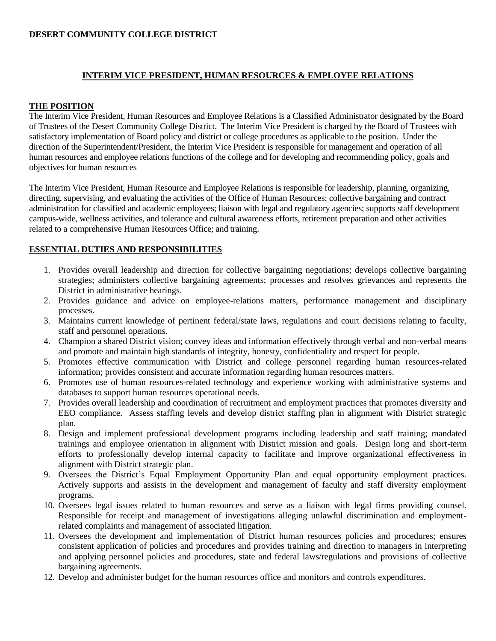### **DESERT COMMUNITY COLLEGE DISTRICT**

# **INTERIM VICE PRESIDENT, HUMAN RESOURCES & EMPLOYEE RELATIONS**

## **THE POSITION**

The Interim Vice President, Human Resources and Employee Relations is a Classified Administrator designated by the Board of Trustees of the Desert Community College District. The Interim Vice President is charged by the Board of Trustees with satisfactory implementation of Board policy and district or college procedures as applicable to the position. Under the direction of the Superintendent/President, the Interim Vice President is responsible for management and operation of all human resources and employee relations functions of the college and for developing and recommending policy, goals and objectives for human resources

The Interim Vice President, Human Resource and Employee Relations is responsible for leadership, planning, organizing, directing, supervising, and evaluating the activities of the Office of Human Resources; collective bargaining and contract administration for classified and academic employees; liaison with legal and regulatory agencies; supports staff development campus-wide, wellness activities, and tolerance and cultural awareness efforts, retirement preparation and other activities related to a comprehensive Human Resources Office; and training.

# **ESSENTIAL DUTIES AND RESPONSIBILITIES**

- 1. Provides overall leadership and direction for collective bargaining negotiations; develops collective bargaining strategies; administers collective bargaining agreements; processes and resolves grievances and represents the District in administrative hearings.
- 2. Provides guidance and advice on employee-relations matters, performance management and disciplinary processes.
- 3. Maintains current knowledge of pertinent federal/state laws, regulations and court decisions relating to faculty, staff and personnel operations.
- 4. Champion a shared District vision; convey ideas and information effectively through verbal and non-verbal means and promote and maintain high standards of integrity, honesty, confidentiality and respect for people.
- 5. Promotes effective communication with District and college personnel regarding human resources-related information; provides consistent and accurate information regarding human resources matters.
- 6. Promotes use of human resources-related technology and experience working with administrative systems and databases to support human resources operational needs.
- 7. Provides overall leadership and coordination of recruitment and employment practices that promotes diversity and EEO compliance. Assess staffing levels and develop district staffing plan in alignment with District strategic plan.
- 8. Design and implement professional development programs including leadership and staff training; mandated trainings and employee orientation in alignment with District mission and goals. Design long and short-term efforts to professionally develop internal capacity to facilitate and improve organizational effectiveness in alignment with District strategic plan.
- 9. Oversees the District's Equal Employment Opportunity Plan and equal opportunity employment practices. Actively supports and assists in the development and management of faculty and staff diversity employment programs.
- 10. Oversees legal issues related to human resources and serve as a liaison with legal firms providing counsel. Responsible for receipt and management of investigations alleging unlawful discrimination and employmentrelated complaints and management of associated litigation.
- 11. Oversees the development and implementation of District human resources policies and procedures; ensures consistent application of policies and procedures and provides training and direction to managers in interpreting and applying personnel policies and procedures, state and federal laws/regulations and provisions of collective bargaining agreements.
- 12. Develop and administer budget for the human resources office and monitors and controls expenditures.